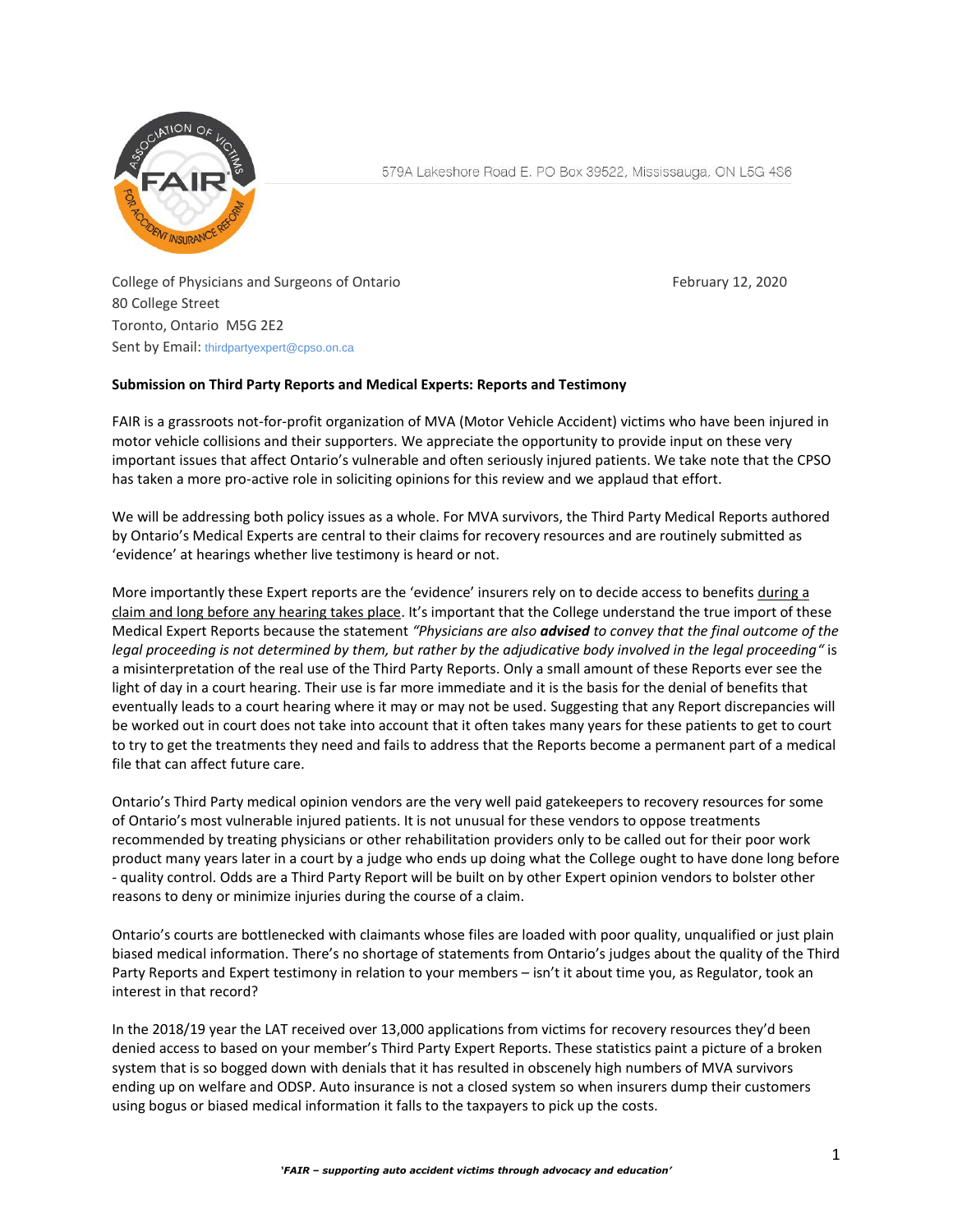

College of Physicians and Surgeons of Ontario February 12, 2020 80 College Street Toronto, Ontario M5G 2E2 Sent by Email: [thirdpartyexpert@cpso.on.ca](mailto:thirdpartyexpert@cpso.on.ca?subject=Consultation%20feedback)

## **Submission on Third Party Reports and Medical Experts: Reports and Testimony**

FAIR is a grassroots not-for-profit organization of MVA (Motor Vehicle Accident) victims who have been injured in motor vehicle collisions and their supporters. We appreciate the opportunity to provide input on these very important issues that affect Ontario's vulnerable and often seriously injured patients. We take note that the CPSO has taken a more pro-active role in soliciting opinions for this review and we applaud that effort.

We will be addressing both policy issues as a whole. For MVA survivors, the Third Party Medical Reports authored by Ontario's Medical Experts are central to their claims for recovery resources and are routinely submitted as 'evidence' at hearings whether live testimony is heard or not.

More importantly these Expert reports are the 'evidence' insurers rely on to decide access to benefits during a claim and long before any hearing takes place. It's important that the College understand the true import of these Medical Expert Reports because the statement *"Physicians are also advised to convey that the final outcome of the legal proceeding is not determined by them, but rather by the adjudicative body involved in the legal proceeding"* is a misinterpretation of the real use of the Third Party Reports. Only a small amount of these Reports ever see the light of day in a court hearing. Their use is far more immediate and it is the basis for the denial of benefits that eventually leads to a court hearing where it may or may not be used. Suggesting that any Report discrepancies will be worked out in court does not take into account that it often takes many years for these patients to get to court to try to get the treatments they need and fails to address that the Reports become a permanent part of a medical file that can affect future care.

Ontario's Third Party medical opinion vendors are the very well paid gatekeepers to recovery resources for some of Ontario's most vulnerable injured patients. It is not unusual for these vendors to oppose treatments recommended by treating physicians or other rehabilitation providers only to be called out for their poor work product many years later in a court by a judge who ends up doing what the College ought to have done long before - quality control. Odds are a Third Party Report will be built on by other Expert opinion vendors to bolster other reasons to deny or minimize injuries during the course of a claim.

Ontario's courts are bottlenecked with claimants whose files are loaded with poor quality, unqualified or just plain biased medical information. There's no shortage of statements from Ontario's judges about the quality of the Third Party Reports and Expert testimony in relation to your members – isn't it about time you, as Regulator, took an interest in that record?

In the 2018/19 year the LAT received over 13,000 applications from victims for recovery resources they'd been denied access to based on your member's Third Party Expert Reports. These statistics paint a picture of a broken system that is so bogged down with denials that it has resulted in obscenely high numbers of MVA survivors ending up on welfare and ODSP. Auto insurance is not a closed system so when insurers dump their customers using bogus or biased medical information it falls to the taxpayers to pick up the costs.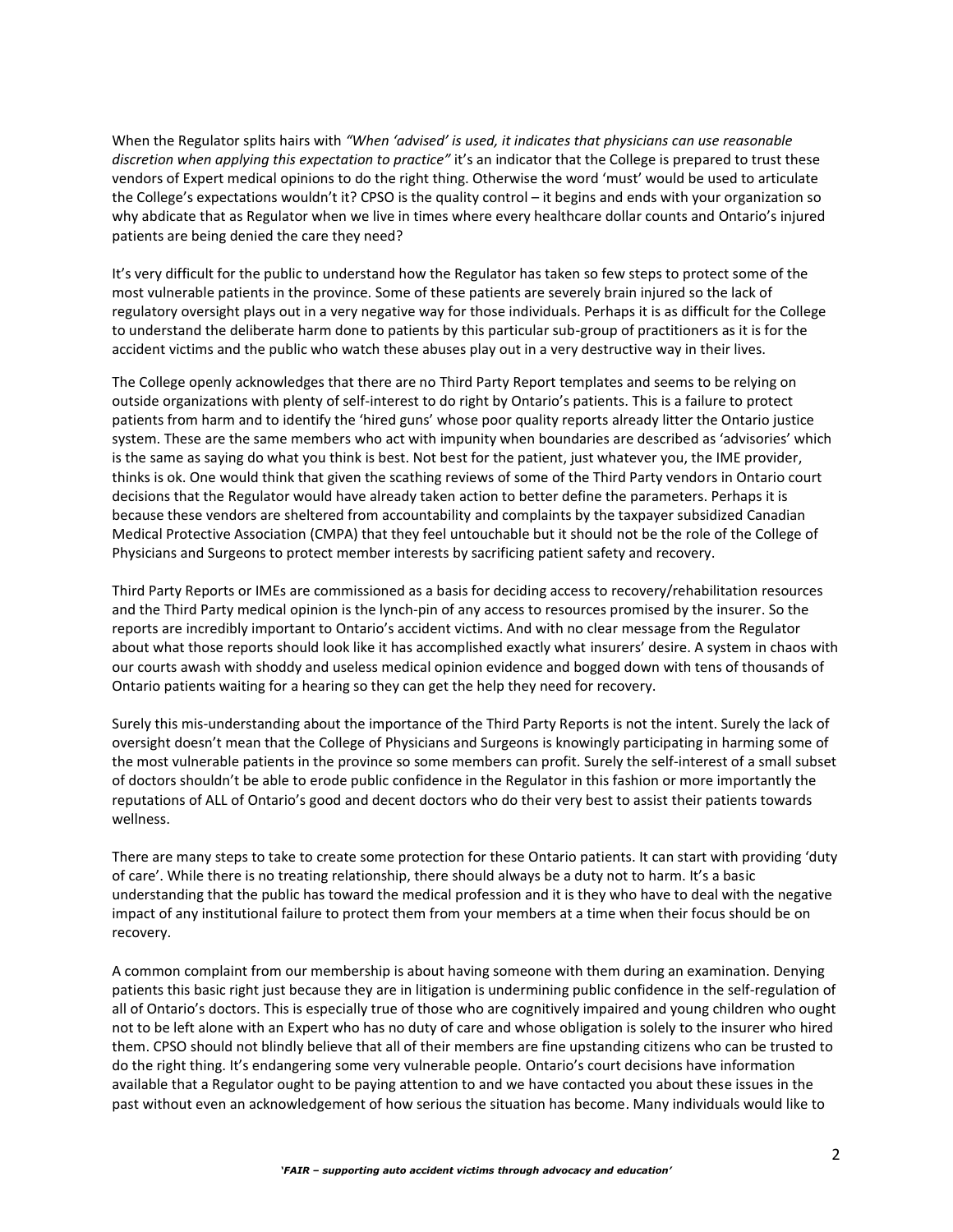When the Regulator splits hairs with *"When 'advised' is used, it indicates that physicians can use reasonable discretion when applying this expectation to practice"* it's an indicator that the College is prepared to trust these vendors of Expert medical opinions to do the right thing. Otherwise the word 'must' would be used to articulate the College's expectations wouldn't it? CPSO is the quality control – it begins and ends with your organization so why abdicate that as Regulator when we live in times where every healthcare dollar counts and Ontario's injured patients are being denied the care they need?

It's very difficult for the public to understand how the Regulator has taken so few steps to protect some of the most vulnerable patients in the province. Some of these patients are severely brain injured so the lack of regulatory oversight plays out in a very negative way for those individuals. Perhaps it is as difficult for the College to understand the deliberate harm done to patients by this particular sub-group of practitioners as it is for the accident victims and the public who watch these abuses play out in a very destructive way in their lives.

The College openly acknowledges that there are no Third Party Report templates and seems to be relying on outside organizations with plenty of self-interest to do right by Ontario's patients. This is a failure to protect patients from harm and to identify the 'hired guns' whose poor quality reports already litter the Ontario justice system. These are the same members who act with impunity when boundaries are described as 'advisories' which is the same as saying do what you think is best. Not best for the patient, just whatever you, the IME provider, thinks is ok. One would think that given the scathing reviews of some of the Third Party vendors in Ontario court decisions that the Regulator would have already taken action to better define the parameters. Perhaps it is because these vendors are sheltered from accountability and complaints by the taxpayer subsidized Canadian Medical Protective Association (CMPA) that they feel untouchable but it should not be the role of the College of Physicians and Surgeons to protect member interests by sacrificing patient safety and recovery.

Third Party Reports or IMEs are commissioned as a basis for deciding access to recovery/rehabilitation resources and the Third Party medical opinion is the lynch-pin of any access to resources promised by the insurer. So the reports are incredibly important to Ontario's accident victims. And with no clear message from the Regulator about what those reports should look like it has accomplished exactly what insurers' desire. A system in chaos with our courts awash with shoddy and useless medical opinion evidence and bogged down with tens of thousands of Ontario patients waiting for a hearing so they can get the help they need for recovery.

Surely this mis-understanding about the importance of the Third Party Reports is not the intent. Surely the lack of oversight doesn't mean that the College of Physicians and Surgeons is knowingly participating in harming some of the most vulnerable patients in the province so some members can profit. Surely the self-interest of a small subset of doctors shouldn't be able to erode public confidence in the Regulator in this fashion or more importantly the reputations of ALL of Ontario's good and decent doctors who do their very best to assist their patients towards wellness.

There are many steps to take to create some protection for these Ontario patients. It can start with providing 'duty of care'. While there is no treating relationship, there should always be a duty not to harm. It's a basic understanding that the public has toward the medical profession and it is they who have to deal with the negative impact of any institutional failure to protect them from your members at a time when their focus should be on recovery.

A common complaint from our membership is about having someone with them during an examination. Denying patients this basic right just because they are in litigation is undermining public confidence in the self-regulation of all of Ontario's doctors. This is especially true of those who are cognitively impaired and young children who ought not to be left alone with an Expert who has no duty of care and whose obligation is solely to the insurer who hired them. CPSO should not blindly believe that all of their members are fine upstanding citizens who can be trusted to do the right thing. It's endangering some very vulnerable people. Ontario's court decisions have information available that a Regulator ought to be paying attention to and we have contacted you about these issues in the past without even an acknowledgement of how serious the situation has become. Many individuals would like to